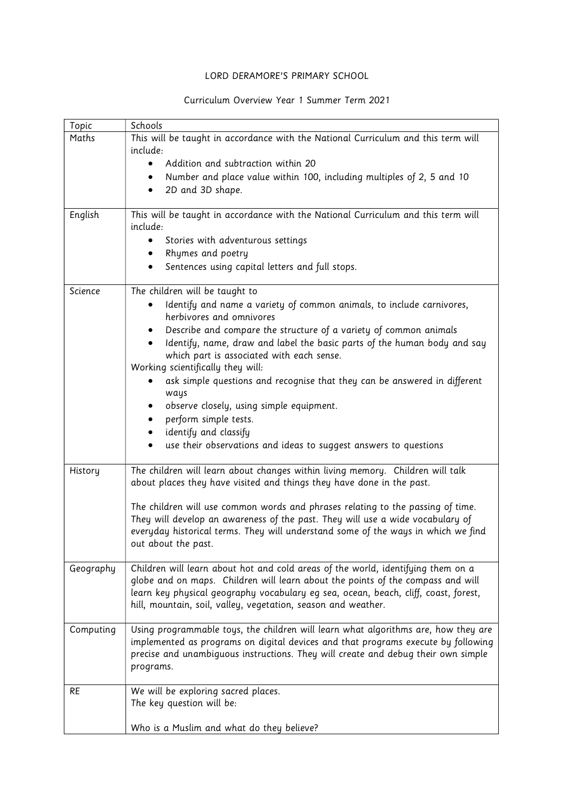## LORD DERAMORE'S PRIMARY SCHOOL

## Curriculum Overview Year 1 Summer Term 2021

| Topic     | Schools                                                                                                                                                 |
|-----------|---------------------------------------------------------------------------------------------------------------------------------------------------------|
| Maths     | This will be taught in accordance with the National Curriculum and this term will                                                                       |
|           | include:                                                                                                                                                |
|           | Addition and subtraction within 20                                                                                                                      |
|           | Number and place value within 100, including multiples of 2, 5 and 10                                                                                   |
|           | 2D and 3D shape.<br>$\bullet$                                                                                                                           |
|           |                                                                                                                                                         |
| English   | This will be taught in accordance with the National Curriculum and this term will                                                                       |
|           | include:                                                                                                                                                |
|           | Stories with adventurous settings                                                                                                                       |
|           | Rhymes and poetry<br>٠                                                                                                                                  |
|           | Sentences using capital letters and full stops.                                                                                                         |
| Science   | The children will be taught to                                                                                                                          |
|           | Identify and name a variety of common animals, to include carnivores,                                                                                   |
|           | herbivores and omnivores                                                                                                                                |
|           | Describe and compare the structure of a variety of common animals                                                                                       |
|           | Identify, name, draw and label the basic parts of the human body and say                                                                                |
|           | which part is associated with each sense.                                                                                                               |
|           | Working scientifically they will:                                                                                                                       |
|           | ask simple questions and recognise that they can be answered in different                                                                               |
|           | ways                                                                                                                                                    |
|           | observe closely, using simple equipment.                                                                                                                |
|           | perform simple tests.                                                                                                                                   |
|           | identify and classify<br>٠                                                                                                                              |
|           | use their observations and ideas to suggest answers to questions                                                                                        |
|           |                                                                                                                                                         |
| History   | The children will learn about changes within living memory. Children will talk<br>about places they have visited and things they have done in the past. |
|           |                                                                                                                                                         |
|           | The children will use common words and phrases relating to the passing of time.                                                                         |
|           | They will develop an awareness of the past. They will use a wide vocabulary of                                                                          |
|           | everyday historical terms. They will understand some of the ways in which we find                                                                       |
|           | out about the past.                                                                                                                                     |
|           |                                                                                                                                                         |
| Geography | Children will learn about hot and cold areas of the world, identifying them on a                                                                        |
|           | globe and on maps. Children will learn about the points of the compass and will                                                                         |
|           | learn key physical geography vocabulary eg sea, ocean, beach, cliff, coast, forest,                                                                     |
|           | hill, mountain, soil, valley, vegetation, season and weather.                                                                                           |
| Computing | Using programmable toys, the children will learn what algorithms are, how they are                                                                      |
|           | implemented as programs on digital devices and that programs execute by following                                                                       |
|           | precise and unambiguous instructions. They will create and debug their own simple                                                                       |
|           | programs.                                                                                                                                               |
|           |                                                                                                                                                         |
| <b>RE</b> | We will be exploring sacred places.                                                                                                                     |
|           | The key question will be:                                                                                                                               |
|           |                                                                                                                                                         |
|           | Who is a Muslim and what do they believe?                                                                                                               |